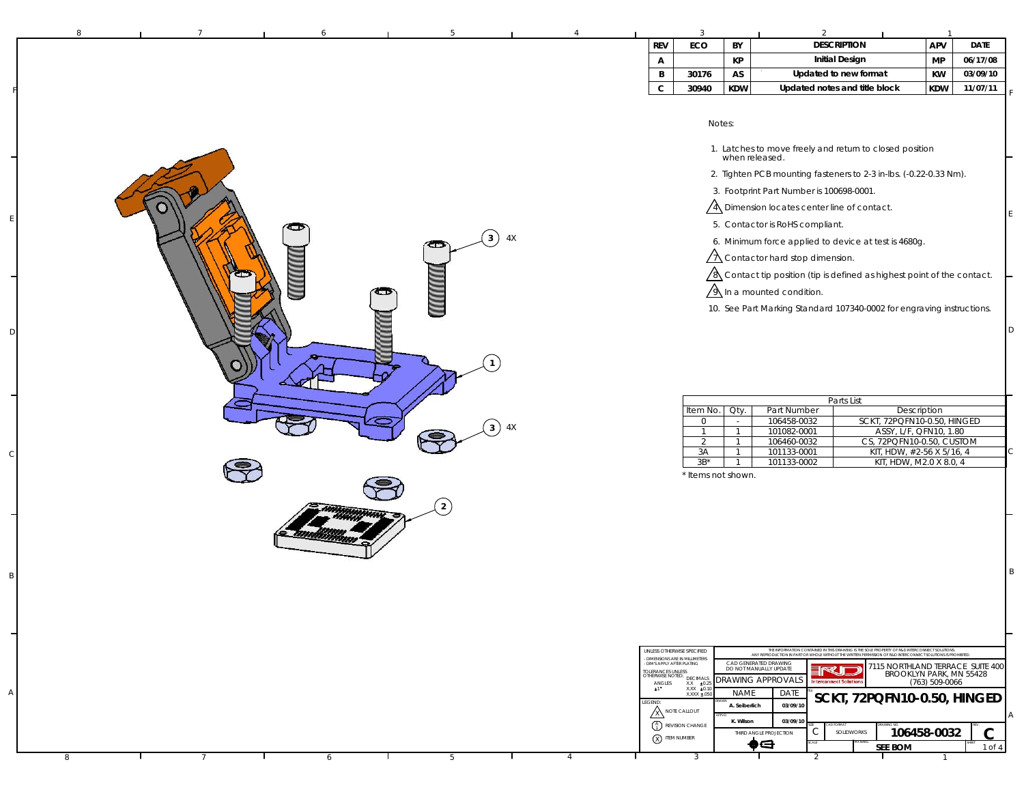| 8 | 6 | -5             |    |                                           | 3                                                                                                                                                                                                                                                                                          |                                                                                                            | 2                                                                                                                                                                                                                                                                                                                                                                                                                                                                                                                                                                                                         |                                                                                               |                                                  |
|---|---|----------------|----|-------------------------------------------|--------------------------------------------------------------------------------------------------------------------------------------------------------------------------------------------------------------------------------------------------------------------------------------------|------------------------------------------------------------------------------------------------------------|-----------------------------------------------------------------------------------------------------------------------------------------------------------------------------------------------------------------------------------------------------------------------------------------------------------------------------------------------------------------------------------------------------------------------------------------------------------------------------------------------------------------------------------------------------------------------------------------------------------|-----------------------------------------------------------------------------------------------|--------------------------------------------------|
|   |   |                |    | <b>REV</b>                                | ECO                                                                                                                                                                                                                                                                                        | BY                                                                                                         | <b>DESCRIPTION</b>                                                                                                                                                                                                                                                                                                                                                                                                                                                                                                                                                                                        | APV                                                                                           | <b>DATE</b>                                      |
|   |   |                |    | А                                         |                                                                                                                                                                                                                                                                                            | КP                                                                                                         | <b>Initial Design</b>                                                                                                                                                                                                                                                                                                                                                                                                                                                                                                                                                                                     | <b>MP</b>                                                                                     | 06/17/08                                         |
|   |   |                |    | B                                         | 30176                                                                                                                                                                                                                                                                                      | AS                                                                                                         | Updated to new format                                                                                                                                                                                                                                                                                                                                                                                                                                                                                                                                                                                     | KW                                                                                            | 03/09/10                                         |
|   |   |                |    | $\mathbf C$                               | 30940                                                                                                                                                                                                                                                                                      | KDW                                                                                                        | Updated notes and title block                                                                                                                                                                                                                                                                                                                                                                                                                                                                                                                                                                             | <b>KDW</b>                                                                                    | 11/07/11                                         |
|   |   | 4X<br>(3)<br>œ |    |                                           |                                                                                                                                                                                                                                                                                            | Notes:                                                                                                     | 1. Latches to move freely and return to closed position<br>when released.<br>2. Tighten PCB mounting fasteners to 2-3 in-lbs. (-0.22-0.33 Nm).<br>3. Footprint Part Number is 100698-0001.<br>$\sqrt{4}$ Dimension locates center line of contact.<br>5. Contactor is RoHS compliant.<br>6. Minimum force applied to device at test is 4680g.<br>$\sqrt{\Lambda}$ Contactor hard stop dimension.<br>$\sqrt{8}$ Contact tip position (tip is defined as highest point of the contact.<br>$\sqrt{\lambda}$ In a mounted condition.<br>10. See Part Marking Standard 107340-0002 for engraving instructions. |                                                                                               |                                                  |
|   |   | $3^{\circ}$    | 4X |                                           | Item No<br>$\circ$<br>$\overline{1}$<br>2<br>3A<br>$3B^*$                                                                                                                                                                                                                                  | Qty.<br>$\sim$<br>$\overline{1}$<br>$\mathbf{1}$<br>$\overline{1}$<br>$\overline{1}$<br>* Items not shown. | Parts List<br>Part Number<br>SCKT, 72PQFN10-0.50, HINGED<br>106458-0032<br>101082-0001<br>106460-0032<br>CS, 72PQFN10-0.50, CUSTOM<br>101133-0001<br>101133-0002                                                                                                                                                                                                                                                                                                                                                                                                                                          | Description<br>ASSY, L/F, QFN10, 1.80<br>KIT, HDW, #2-56 X 5/16, 4<br>KIT, HDW, M2.0 X 8.0, 4 |                                                  |
|   |   | $\overline{2}$ |    | ANGLES<br>$\pm 1$ <sup>*</sup><br>LEGEND: | UNLESS OTHERWISE SPECIFIED<br>DIMENSIONS ARE IN MILLIMETERS<br>DIM'S APPLY AFTER PLATING<br>TOLERANCES UNLESS<br>OTHERWISE NOTED: DECIMALS<br>$X.X = 0.25$<br>$X.XX = 0.10$<br>$X.XXX = 050$<br>ANOTE CALLOUT<br>$\begin{pmatrix} A \\ 1 \end{pmatrix}$ REVISION CHANGE<br>(X) ITEM NUMBER | <b>NAME</b><br>A. Seiberlich<br>K. Wilson                                                                  | .<br>THE INFORMATION CONTAINED IN THE DRAWING IS THE SOLE PROPERTY OF R&D INTERCONNECT SOLUTIONS.<br>ANY REPRODUCTION IN PART OR WHOLE WITHOUT THE WRITEN PERMISSION OF R&D INTERCONNECT SOLUTIONS IS PROHIBITED<br>CAD GENERATED DRAWING<br><b>RUE</b><br>DO NOT MANUALLY UPDATE<br><b>DRAWING APPROVALS</b><br><b>Interconnect Solutions</b><br>DATE<br>SCKT, 72PQFN10-0.50, HINGED<br>03/09/10<br>03/09/1<br>C<br>SOLIDWORKS<br>THIRD ANGLE PROJECTION                                                                                                                                                 | BROOKLYN PARK, MN 55428<br>(763) 509-0066<br>106458-0032                                      | 7115 NORTHLAND TERRACE SUITE 400<br>$\mathsf{C}$ |
|   |   |                |    |                                           |                                                                                                                                                                                                                                                                                            |                                                                                                            | $\spadesuit$<br><b>SEE BOM</b>                                                                                                                                                                                                                                                                                                                                                                                                                                                                                                                                                                            |                                                                                               | 1 of 4                                           |

6 **1** 5 1 4 1 3 1 2

3

8

7

6

F

E

D

C

B

A

4

A

C

D

E

F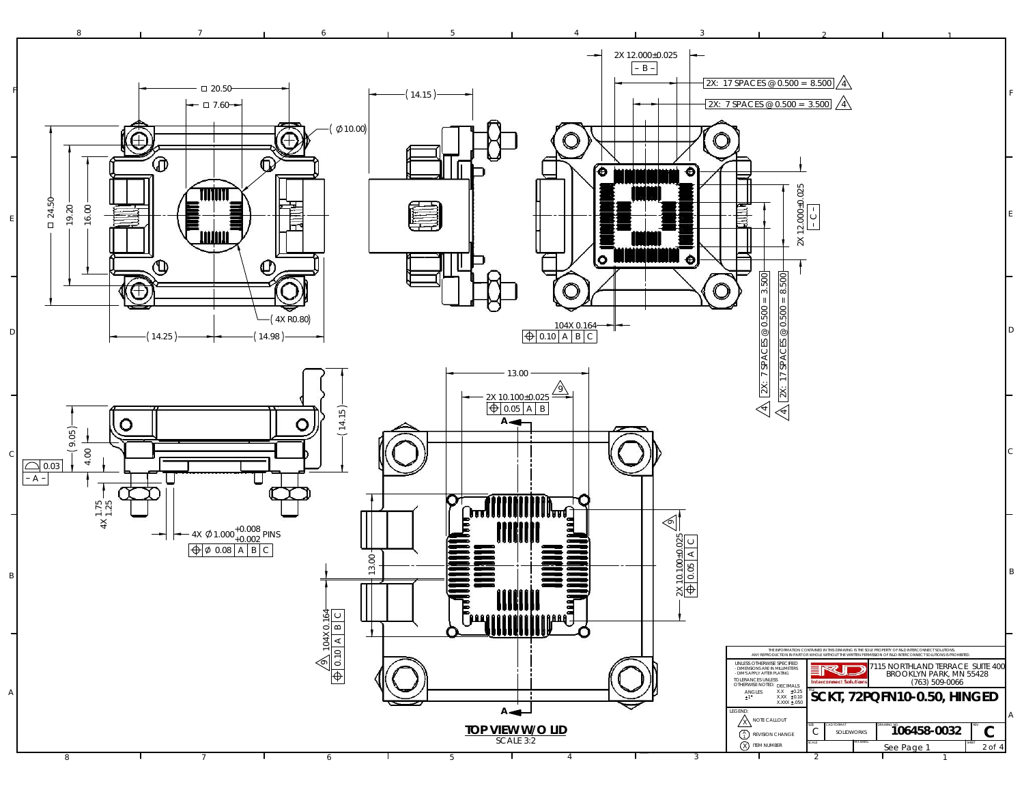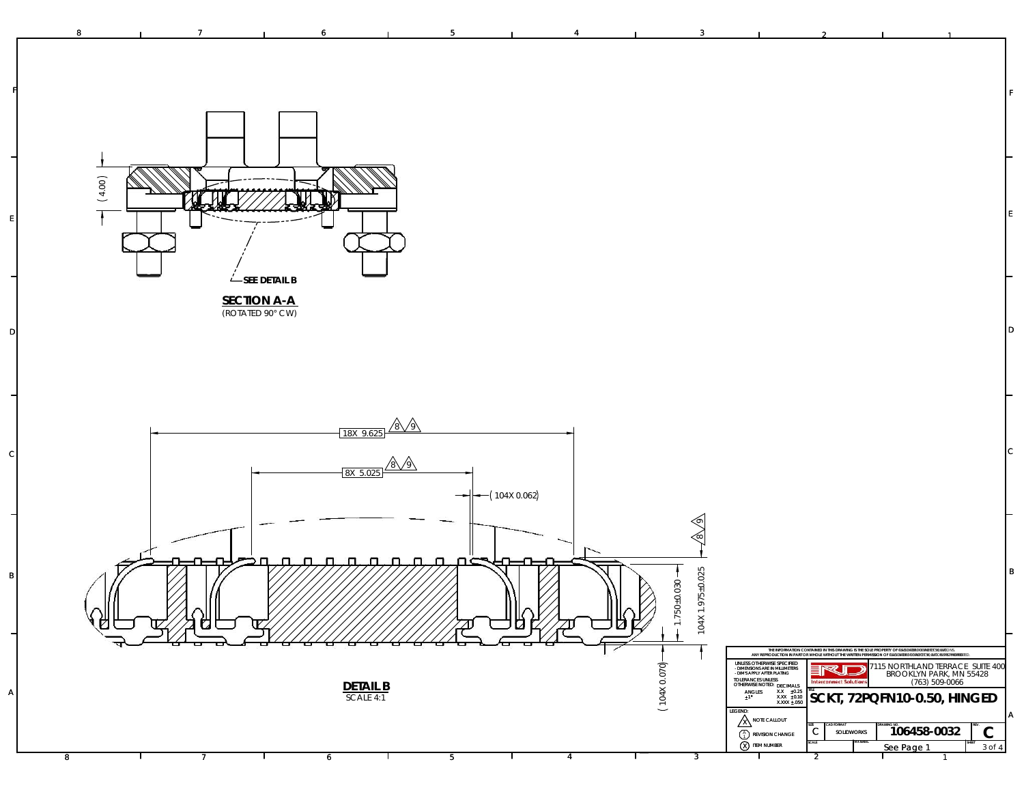